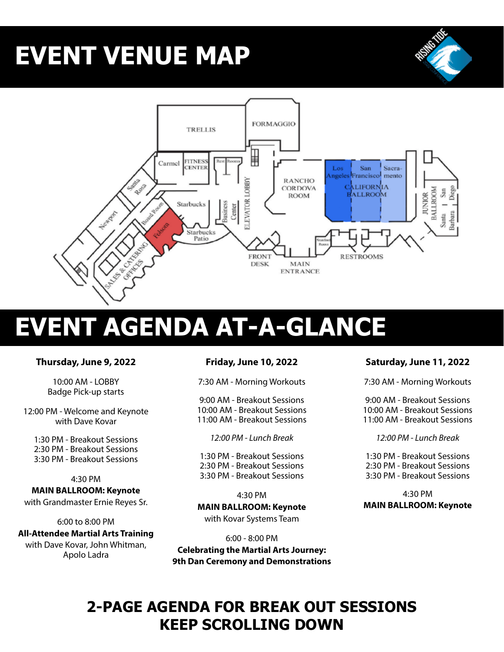# **EVENT VENUE MAP**



# **EVENT AGENDA AT-A-GLANCE**

### **Thursday, June 9, 2022**

10:00 AM - LOBBY Badge Pick-up starts

12:00 PM - Welcome and Keynote with Dave Kovar

1:30 PM - Breakout Sessions 2:30 PM - Breakout Sessions 3:30 PM - Breakout Sessions

#### 4:30 PM

**MAIN BALLROOM: Keynote**  with Grandmaster Ernie Reyes Sr.

#### 6:00 to 8:00 PM

**All-Attendee Martial Arts Training** with Dave Kovar, John Whitman, Apolo Ladra

#### **Friday, June 10, 2022**

7:30 AM - Morning Workouts

9:00 AM - Breakout Sessions 10:00 AM - Breakout Sessions 11:00 AM - Breakout Sessions

*12:00 PM - Lunch Break*

1:30 PM - Breakout Sessions 2:30 PM - Breakout Sessions 3:30 PM - Breakout Sessions

4:30 PM **MAIN BALLROOM: Keynote**  with Kovar Systems Team

6:00 - 8:00 PM **Celebrating the Martial Arts Journey: 9th Dan Ceremony and Demonstrations**

### **Saturday, June 11, 2022**

7:30 AM - Morning Workouts

9:00 AM - Breakout Sessions 10:00 AM - Breakout Sessions 11:00 AM - Breakout Sessions

*12:00 PM - Lunch Break*

1:30 PM - Breakout Sessions 2:30 PM - Breakout Sessions 3:30 PM - Breakout Sessions

4:30 PM **MAIN BALLROOM: Keynote**

## **2-PAGE AGENDA FOR BREAK OUT SESSIONS KEEP SCROLLING DOWN**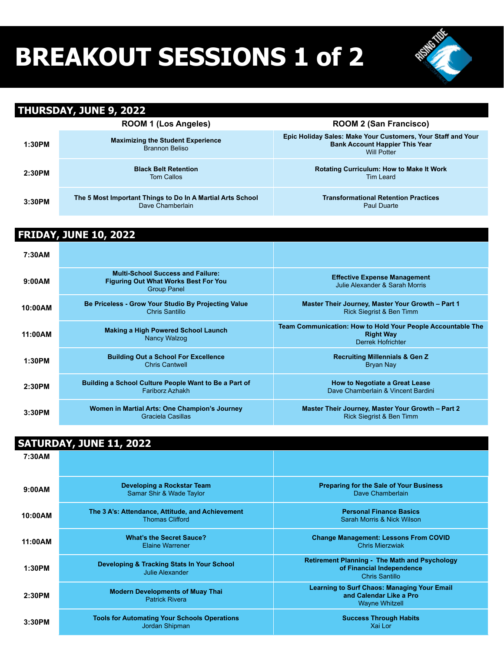# **BREAKOUT SESSIONS 1 of 2**



#### **THURSDAY, JUNE 9, 2022 ROOM 1 (Los Angeles) ROOM 2 (San Francisco) 1:30PM Maximizing the Student Experience** Brannon Beliso **Epic Holiday Sales: Make Your Customers, Your Staff and Your Bank Account Happier This Year** Will Potter **2:30PM Black Belt Retention** Tom Callos **Rotating Curriculum: How to Make It Work** Tim Leard **3:30PM The 5 Most Important Things to Do In A Martial Arts School** Dave Chamberlain **Transformational Retention Practices** Paul Duarte

### **FRIDAY, JUNE 10, 2022**

| 7:30AM  |                                                                                                               |                                                                                                             |
|---------|---------------------------------------------------------------------------------------------------------------|-------------------------------------------------------------------------------------------------------------|
| 9:00AM  | <b>Multi-School Success and Failure:</b><br><b>Figuring Out What Works Best For You</b><br><b>Group Panel</b> | <b>Effective Expense Management</b><br>Julie Alexander & Sarah Morris                                       |
| 10:00AM | Be Priceless - Grow Your Studio By Projecting Value<br>Chris Santillo                                         | Master Their Journey, Master Your Growth - Part 1<br><b>Rick Siegrist &amp; Ben Timm</b>                    |
| 11:00AM | <b>Making a High Powered School Launch</b><br><b>Nancy Walzog</b>                                             | Team Communication: How to Hold Your People Accountable The<br><b>Right Way</b><br><b>Derrek Hofrichter</b> |
| 1:30PM  | <b>Building Out a School For Excellence</b><br><b>Chris Cantwell</b>                                          | <b>Recruiting Millennials &amp; Gen Z</b><br><b>Bryan Nay</b>                                               |
| 2:30PM  | Building a School Culture People Want to Be a Part of<br><b>Fariborz Azhakh</b>                               | <b>How to Negotiate a Great Lease</b><br>Dave Chamberlain & Vincent Bardini                                 |
| 3:30PM  | Women in Martial Arts: One Champion's Journey<br>Graciela Casillas                                            | Master Their Journey, Master Your Growth - Part 2<br><b>Rick Siegrist &amp; Ben Timm</b>                    |

### **SATURDAY, JUNE 11, 2022**

| 7:30AM  |                                                                            |                                                                                                        |
|---------|----------------------------------------------------------------------------|--------------------------------------------------------------------------------------------------------|
| 9:00AM  | Developing a Rockstar Team<br>Samar Shir & Wade Taylor                     | <b>Preparing for the Sale of Your Business</b><br>Dave Chamberlain                                     |
| 10:00AM | The 3 A's: Attendance, Attitude, and Achievement<br><b>Thomas Clifford</b> | <b>Personal Finance Basics</b><br>Sarah Morris & Nick Wilson                                           |
| 11:00AM | <b>What's the Secret Sauce?</b><br><b>Elaine Warrener</b>                  | <b>Change Management: Lessons From COVID</b><br><b>Chris Mierzwiak</b>                                 |
| 1:30PM  | Developing & Tracking Stats In Your School<br><b>Julie Alexander</b>       | <b>Retirement Planning - The Math and Psychology</b><br>of Financial Independence<br>Chris Santillo    |
| 2:30PM  | <b>Modern Developments of Muay Thai</b><br><b>Patrick Rivera</b>           | <b>Learning to Surf Chaos: Managing Your Email</b><br>and Calendar Like a Pro<br><b>Wayne Whitzell</b> |
| 3:30PM  | <b>Tools for Automating Your Schools Operations</b><br>Jordan Shipman      | <b>Success Through Habits</b><br>Xai Lor                                                               |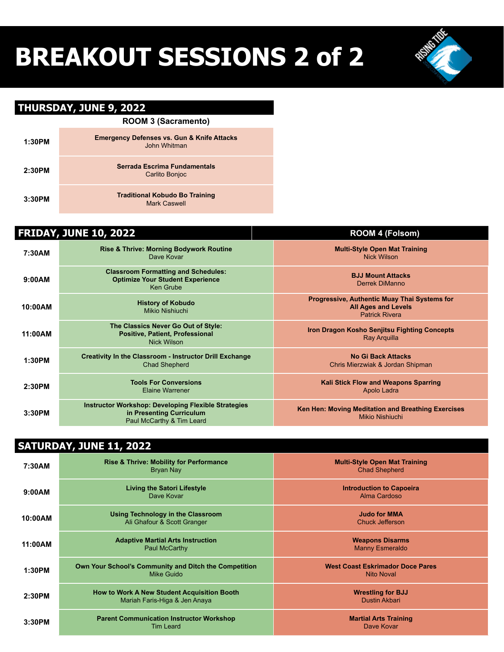# **BREAKOUT SESSIONS 2 of 2**

## **THURSDAY, JUNE 9, 2022**

|        | <b>ROOM 3 (Sacramento)</b>                                            |  |  |
|--------|-----------------------------------------------------------------------|--|--|
| 1:30PM | <b>Emergency Defenses vs. Gun &amp; Knife Attacks</b><br>John Whitman |  |  |
| 2:30PM | Serrada Escrima Fundamentals<br>Carlito Bonjoc                        |  |  |
| 3:30PM | <b>Traditional Kobudo Bo Training</b><br>Mark Caswell                 |  |  |

| <b>FRIDAY, JUNE 10, 2022</b> |                                                                                                                     | <b>ROOM 4 (Folsom)</b>                                                                                     |
|------------------------------|---------------------------------------------------------------------------------------------------------------------|------------------------------------------------------------------------------------------------------------|
| 7:30AM                       | <b>Rise &amp; Thrive: Morning Bodywork Routine</b><br>Dave Kovar                                                    | <b>Multi-Style Open Mat Training</b><br><b>Nick Wilson</b>                                                 |
| 9:00AM                       | <b>Classroom Formatting and Schedules:</b><br><b>Optimize Your Student Experience</b><br><b>Ken Grube</b>           | <b>BJJ Mount Attacks</b><br><b>Derrek DiManno</b>                                                          |
| 10:00AM                      | <b>History of Kobudo</b><br>Mikio Nishiuchi                                                                         | <b>Progressive, Authentic Muay Thai Systems for</b><br><b>All Ages and Levels</b><br><b>Patrick Rivera</b> |
| 11:00AM                      | The Classics Never Go Out of Style:<br>Positive, Patient, Professional<br><b>Nick Wilson</b>                        | Iron Dragon Kosho Senjitsu Fighting Concepts<br><b>Ray Arquilla</b>                                        |
| 1:30PM                       | <b>Creativity In the Classroom - Instructor Drill Exchange</b><br><b>Chad Shepherd</b>                              | <b>No Gi Back Attacks</b><br>Chris Mierzwiak & Jordan Shipman                                              |
| 2:30PM                       | <b>Tools For Conversions</b><br><b>Elaine Warrener</b>                                                              | <b>Kali Stick Flow and Weapons Sparring</b><br>Apolo Ladra                                                 |
| 3:30PM                       | <b>Instructor Workshop: Developing Flexible Strategies</b><br>in Presenting Curriculum<br>Paul McCarthy & Tim Leard | Ken Hen: Moving Meditation and Breathing Exercises<br><b>Mikio Nishiuchi</b>                               |

## **SATURDAY, JUNE 11, 2022**

| 7:30AM  | <b>Rise &amp; Thrive: Mobility for Performance</b><br>Bryan Nay                     | <b>Multi-Style Open Mat Training</b><br><b>Chad Shepherd</b> |
|---------|-------------------------------------------------------------------------------------|--------------------------------------------------------------|
| 9:00AM  | <b>Living the Satori Lifestyle</b><br>Dave Kovar                                    | <b>Introduction to Capoeira</b><br>Alma Cardoso              |
| 10:00AM | <b>Using Technology in the Classroom</b><br>Ali Ghafour & Scott Granger             | <b>Judo for MMA</b><br>Chuck Jefferson                       |
| 11:00AM | <b>Adaptive Martial Arts Instruction</b><br>Paul McCarthy                           | <b>Weapons Disarms</b><br><b>Manny Esmeraldo</b>             |
| 1:30PM  | Own Your School's Community and Ditch the Competition<br>Mike Guido                 | <b>West Coast Eskrimador Doce Pares</b><br><b>Nito Noval</b> |
| 2:30PM  | <b>How to Work A New Student Acquisition Booth</b><br>Mariah Faris-Higa & Jen Anaya | <b>Wrestling for BJJ</b><br><b>Dustin Akbari</b>             |
| 3:30PM  | <b>Parent Communication Instructor Workshop</b><br><b>Tim Leard</b>                 | <b>Martial Arts Training</b><br>Dave Kovar                   |

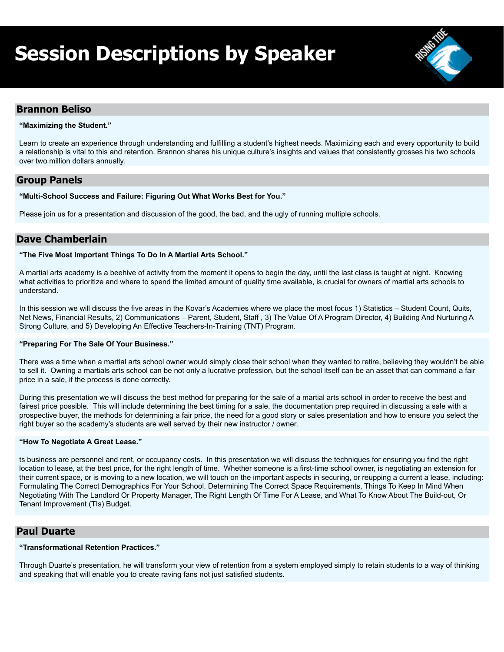## **Session Descriptions by Speaker**



#### **Brannon Beliso**

#### **"Maximizing the Student."**

Learn to create an experience through understanding and fulfilling a student's highest needs. Maximizing each and every opportunity to build a relationship is vital to this and retention. Brannon shares his unique culture's insights and values that consistently grosses his two schools over two million dollars annually.

#### **Group Panels**

#### **"Multi-School Success and Failure: Figuring Out What Works Best for You."**

Please join us for a presentation and discussion of the good, the bad, and the ugly of running multiple schools.

#### **Dave Chamberlain**

#### **"The Five Most Important Things To Do In A Martial Arts School."**

A martial arts academy is a beehive of activity from the moment it opens to begin the day, until the last class is taught at night. Knowing what activities to prioritize and where to spend the limited amount of quality time available, is crucial for owners of martial arts schools to understand.

In this session we will discuss the five areas in the Kovar's Academies where we place the most focus 1) Statistics – Student Count, Quits, Net News, Financial Results, 2) Communications – Parent, Student, Staff , 3) The Value Of A Program Director, 4) Building And Nurturing A Strong Culture, and 5) Developing An Effective Teachers-In-Training (TNT) Program.

#### **"Preparing For The Sale Of Your Business."**

There was a time when a martial arts school owner would simply close their school when they wanted to retire, believing they wouldn't be able to sell it. Owning a martials arts school can be not only a lucrative profession, but the school itself can be an asset that can command a fair price in a sale, if the process is done correctly.

During this presentation we will discuss the best method for preparing for the sale of a martial arts school in order to receive the best and fairest price possible. This will include determining the best timing for a sale, the documentation prep required in discussing a sale with a prospective buyer, the methods for determining a fair price, the need for a good story or sales presentation and how to ensure you select the right buyer so the academy's students are well served by their new instructor / owner.

#### **"How To Negotiate A Great Lease."**

ts business are personnel and rent, or occupancy costs. In this presentation we will discuss the techniques for ensuring you find the right location to lease, at the best price, for the right length of time. Whether someone is a first-time school owner, is negotiating an extension for their current space, or is moving to a new location, we will touch on the important aspects in securing, or reupping a current a lease, including: Formulating The Correct Demographics For Your School, Determining The Correct Space Requirements, Things To Keep In Mind When Negotiating With The Landlord Or Property Manager, The Right Length Of Time For A Lease, and What To Know About The Build-out, Or Tenant Improvement (TIs) Budget.

#### **Paul Duarte**

#### **"Transformational Retention Practices."**

Through Duarte's presentation, he will transform your view of retention from a system employed simply to retain students to a way of thinking and speaking that will enable you to create raving fans not just satisfied students.